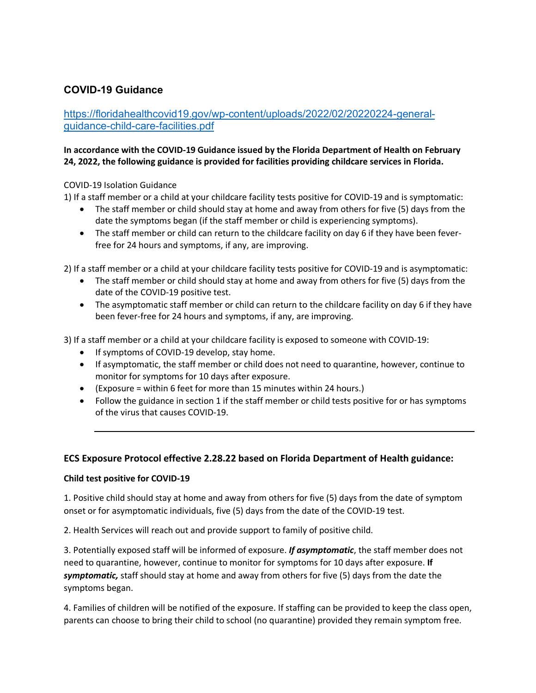# **COVID-19 Guidance**

# https://floridahealthcovid19.gov/wp-content/uploads/2022/02/20220224-generalguidance-child-care-facilities.pdf

## **In accordance with the COVID-19 Guidance issued by the Florida Department of Health on February 24, 2022, the following guidance is provided for facilities providing childcare services in Florida.**

COVID-19 Isolation Guidance

1) If a staff member or a child at your childcare facility tests positive for COVID-19 and is symptomatic:

- The staff member or child should stay at home and away from others for five (5) days from the date the symptoms began (if the staff member or child is experiencing symptoms).
- The staff member or child can return to the childcare facility on day 6 if they have been feverfree for 24 hours and symptoms, if any, are improving.

2) If a staff member or a child at your childcare facility tests positive for COVID-19 and is asymptomatic:

- The staff member or child should stay at home and away from others for five (5) days from the date of the COVID-19 positive test.
- The asymptomatic staff member or child can return to the childcare facility on day 6 if they have been fever-free for 24 hours and symptoms, if any, are improving.

3) If a staff member or a child at your childcare facility is exposed to someone with COVID-19:

- If symptoms of COVID-19 develop, stay home.
- If asymptomatic, the staff member or child does not need to quarantine, however, continue to monitor for symptoms for 10 days after exposure.
- (Exposure = within 6 feet for more than 15 minutes within 24 hours.)
- Follow the guidance in section 1 if the staff member or child tests positive for or has symptoms of the virus that causes COVID-19.

# **ECS Exposure Protocol effective 2.28.22 based on Florida Department of Health guidance:**

### **Child test positive for COVID-19**

1. Positive child should stay at home and away from others for five (5) days from the date of symptom onset or for asymptomatic individuals, five (5) days from the date of the COVID-19 test.

2. Health Services will reach out and provide support to family of positive child.

3. Potentially exposed staff will be informed of exposure. *If asymptomatic*, the staff member does not need to quarantine, however, continue to monitor for symptoms for 10 days after exposure. **If**  *symptomatic,* staff should stay at home and away from others for five (5) days from the date the symptoms began.

4. Families of children will be notified of the exposure. If staffing can be provided to keep the class open, parents can choose to bring their child to school (no quarantine) provided they remain symptom free.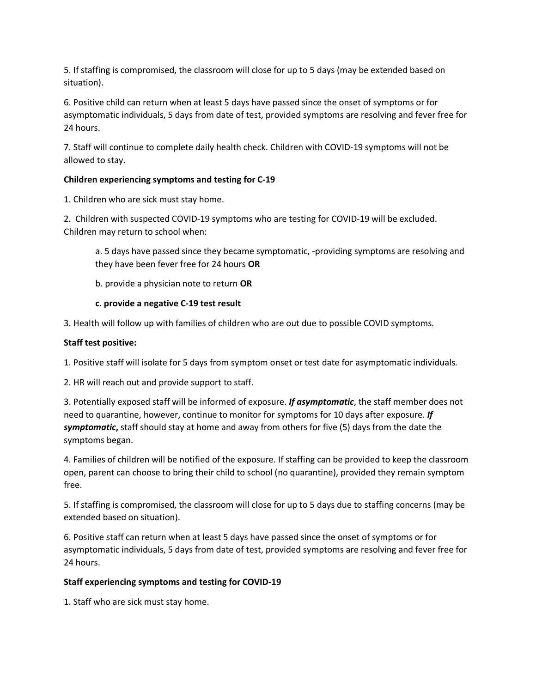5. If staffing is compromised, the classroom will close for up to 5 days (may be extended based on situation).

6. Positive child can return when at least 5 days have passed since the onset of symptoms or for asymptomatic individuals, 5 days from date of test, provided symptoms are resolving and fever free for 24 hours.

7. Staff will continue to complete daily health check. Children with COVID-19 symptoms will not be allowed to stay.

# **Children experiencing symptoms and testing for C-19**

1. Children who are sick must stay home.

2. Children with suspected COVID-19 symptoms who are testing for COVID-19 will be excluded. Children may return to school when:

a. 5 days have passed since they became symptomatic, -providing symptoms are resolving and they have been fever free for 24 hours **OR**

b. provide a physician note to return **OR**

## **c. provide a negative C-19 test result**

3. Health will follow up with families of children who are out due to possible COVID symptoms.

## **Staff test positive:**

1. Positive staff will isolate for 5 days from symptom onset or test date for asymptomatic individuals.

2. HR will reach out and provide support to staff.

3. Potentially exposed staff will be informed of exposure. *If asymptomatic*, the staff member does not need to quarantine, however, continue to monitor for symptoms for 10 days after exposure. *If symptomatic***,** staff should stay at home and away from others for five (5) days from the date the symptoms began.

4. Families of children will be notified of the exposure. If staffing can be provided to keep the classroom open, parent can choose to bring their child to school (no quarantine), provided they remain symptom free.

5. If staffing is compromised, the classroom will close for up to 5 days due to staffing concerns (may be extended based on situation).

6. Positive staff can return when at least 5 days have passed since the onset of symptoms or for asymptomatic individuals, 5 days from date of test, provided symptoms are resolving and fever free for 24 hours.

# **Staff experiencing symptoms and testing for COVID-19**

1. Staff who are sick must stay home.